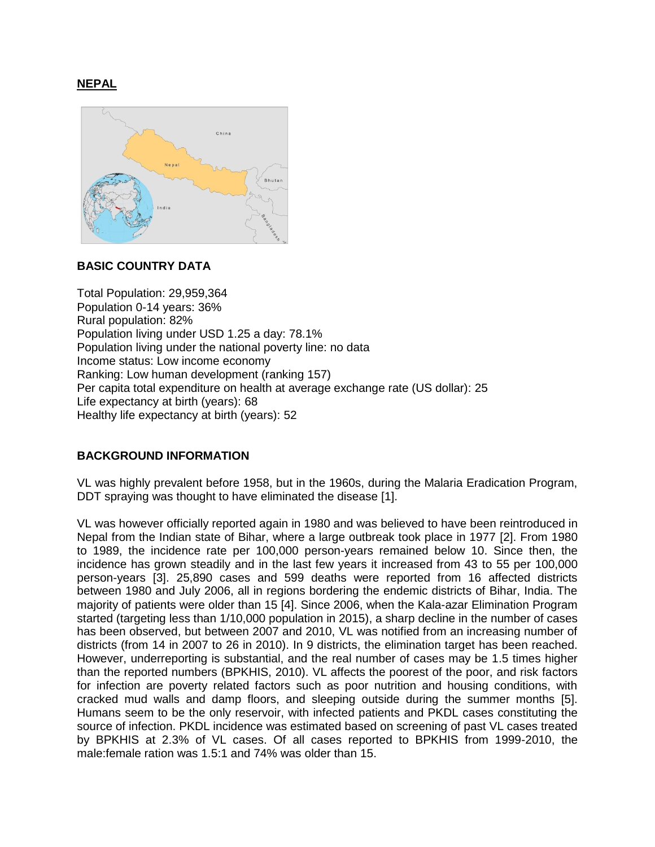# **NEPAL**



### **BASIC COUNTRY DATA**

Total Population: 29,959,364 Population 0-14 years: 36% Rural population: 82% Population living under USD 1.25 a day: 78.1% Population living under the national poverty line: no data Income status: Low income economy Ranking: Low human development (ranking 157) Per capita total expenditure on health at average exchange rate (US dollar): 25 Life expectancy at birth (years): 68 Healthy life expectancy at birth (years): 52

# **BACKGROUND INFORMATION**

VL was highly prevalent before 1958, but in the 1960s, during the Malaria Eradication Program, DDT spraying was thought to have eliminated the disease [1].

VL was however officially reported again in 1980 and was believed to have been reintroduced in Nepal from the Indian state of Bihar, where a large outbreak took place in 1977 [2]. From 1980 to 1989, the incidence rate per 100,000 person-years remained below 10. Since then, the incidence has grown steadily and in the last few years it increased from 43 to 55 per 100,000 person-years [3]. 25,890 cases and 599 deaths were reported from 16 affected districts between 1980 and July 2006, all in regions bordering the endemic districts of Bihar, India. The majority of patients were older than 15 [4]. Since 2006, when the Kala-azar Elimination Program started (targeting less than 1/10,000 population in 2015), a sharp decline in the number of cases has been observed, but between 2007 and 2010, VL was notified from an increasing number of districts (from 14 in 2007 to 26 in 2010). In 9 districts, the elimination target has been reached. However, underreporting is substantial, and the real number of cases may be 1.5 times higher than the reported numbers (BPKHIS, 2010). VL affects the poorest of the poor, and risk factors for infection are poverty related factors such as poor nutrition and housing conditions, with cracked mud walls and damp floors, and sleeping outside during the summer months [5]. Humans seem to be the only reservoir, with infected patients and PKDL cases constituting the source of infection. PKDL incidence was estimated based on screening of past VL cases treated by BPKHIS at 2.3% of VL cases. Of all cases reported to BPKHIS from 1999-2010, the male:female ration was 1.5:1 and 74% was older than 15.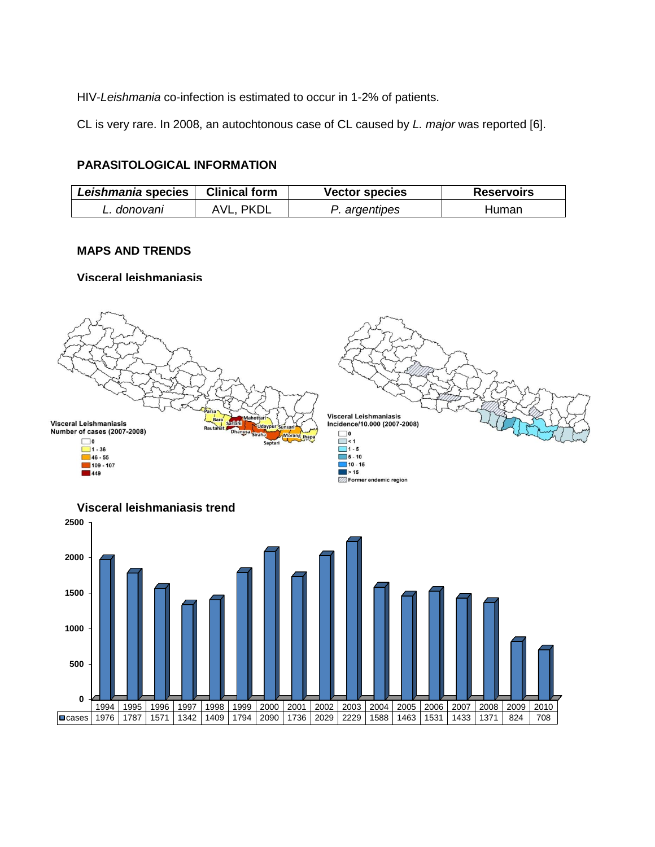HIV-*Leishmania* co-infection is estimated to occur in 1-2% of patients.

CL is very rare. In 2008, an autochtonous case of CL caused by *L. major* was reported [6].

# **PARASITOLOGICAL INFORMATION**

| Leishmania species | <b>Clinical form</b> | <b>Vector species</b> | <b>Reservoirs</b> |
|--------------------|----------------------|-----------------------|-------------------|
| L. donovani        | PKDL                 | P. argentipes         | Human             |

# **MAPS AND TRENDS**

#### **Visceral leishmaniasis**





### **Visceral leishmaniasis trend**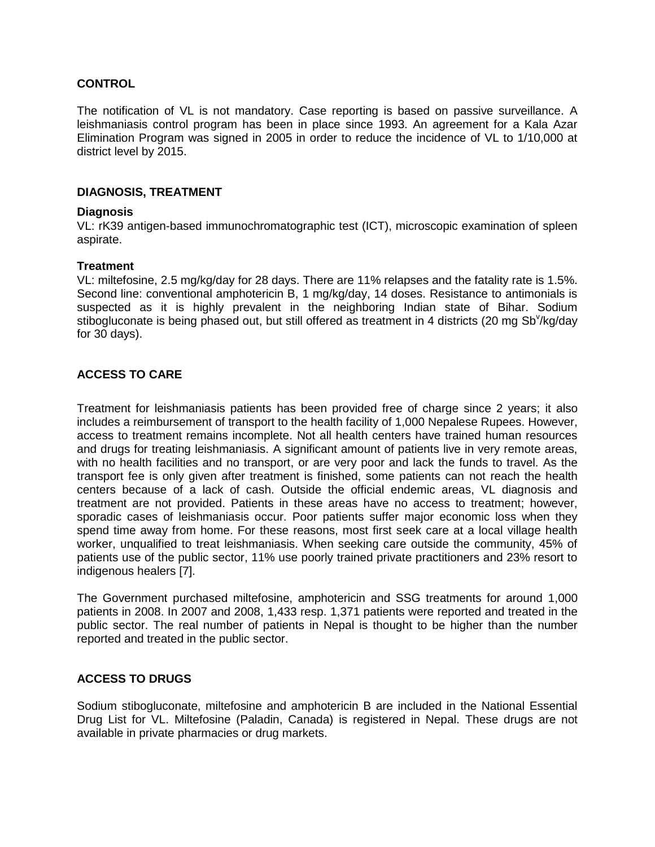## **CONTROL**

The notification of VL is not mandatory. Case reporting is based on passive surveillance. A leishmaniasis control program has been in place since 1993. An agreement for a Kala Azar Elimination Program was signed in 2005 in order to reduce the incidence of VL to 1/10,000 at district level by 2015.

### **DIAGNOSIS, TREATMENT**

### **Diagnosis**

VL: rK39 antigen-based immunochromatographic test (ICT), microscopic examination of spleen aspirate.

#### **Treatment**

VL: miltefosine, 2.5 mg/kg/day for 28 days. There are 11% relapses and the fatality rate is 1.5%. Second line: conventional amphotericin B, 1 mg/kg/day, 14 doses. Resistance to antimonials is suspected as it is highly prevalent in the neighboring Indian state of Bihar. Sodium stibogluconate is being phased out, but still offered as treatment in 4 districts (20 mg Sb<sup>v</sup>/kg/day for 30 days).

# **ACCESS TO CARE**

Treatment for leishmaniasis patients has been provided free of charge since 2 years; it also includes a reimbursement of transport to the health facility of 1,000 Nepalese Rupees. However, access to treatment remains incomplete. Not all health centers have trained human resources and drugs for treating leishmaniasis. A significant amount of patients live in very remote areas, with no health facilities and no transport, or are very poor and lack the funds to travel. As the transport fee is only given after treatment is finished, some patients can not reach the health centers because of a lack of cash. Outside the official endemic areas, VL diagnosis and treatment are not provided. Patients in these areas have no access to treatment; however, sporadic cases of leishmaniasis occur. Poor patients suffer major economic loss when they spend time away from home. For these reasons, most first seek care at a local village health worker, unqualified to treat leishmaniasis. When seeking care outside the community, 45% of patients use of the public sector, 11% use poorly trained private practitioners and 23% resort to indigenous healers [7].

The Government purchased miltefosine, amphotericin and SSG treatments for around 1,000 patients in 2008. In 2007 and 2008, 1,433 resp. 1,371 patients were reported and treated in the public sector. The real number of patients in Nepal is thought to be higher than the number reported and treated in the public sector.

# **ACCESS TO DRUGS**

Sodium stibogluconate, miltefosine and amphotericin B are included in the National Essential Drug List for VL. Miltefosine (Paladin, Canada) is registered in Nepal. These drugs are not available in private pharmacies or drug markets.